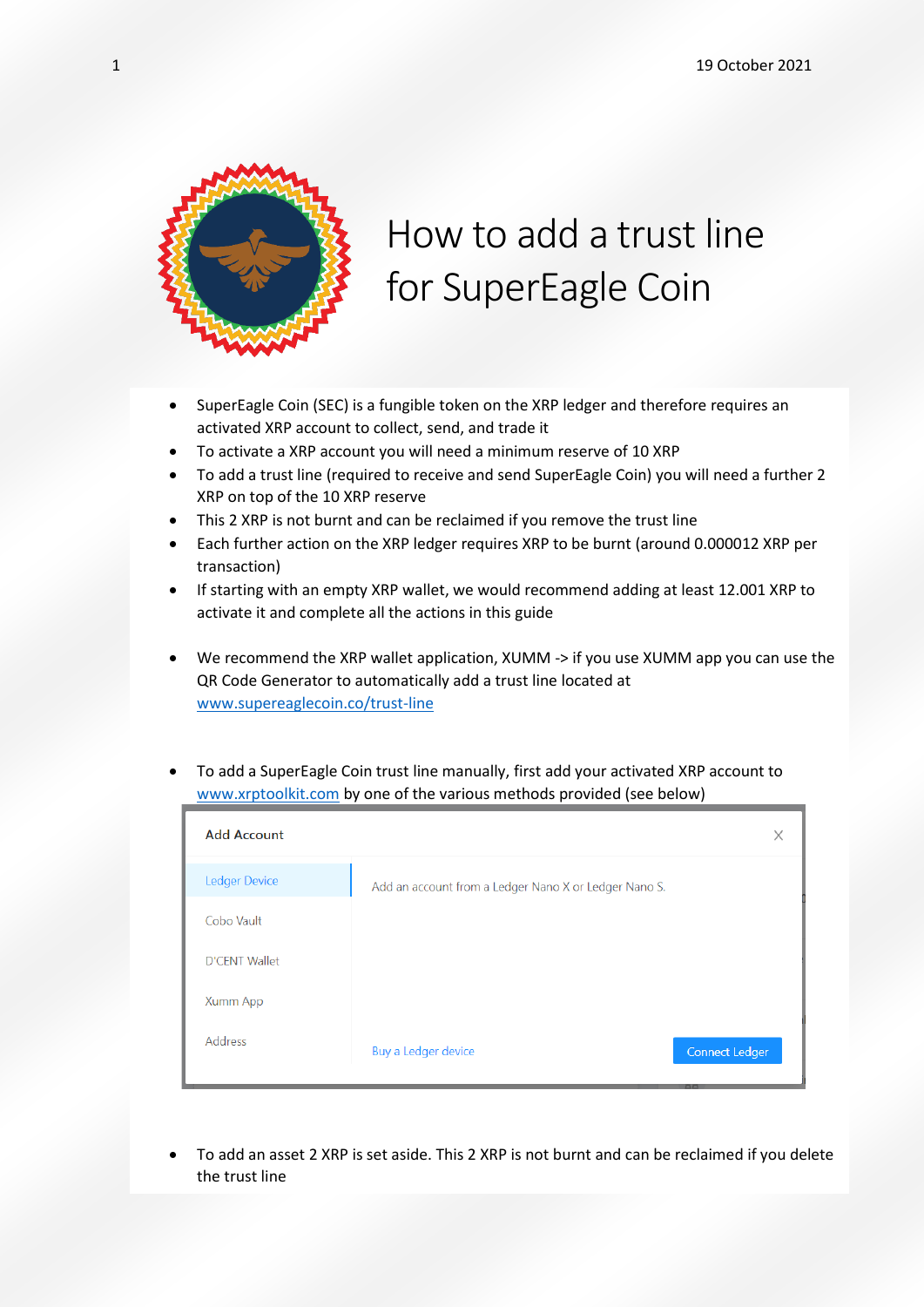

## How to add a trust line for SuperEagle Coin

- SuperEagle Coin (SEC) is a fungible token on the XRP ledger and therefore requires an activated XRP account to collect, send, and trade it
- To activate a XRP account you will need a minimum reserve of 10 XRP
- To add a trust line (required to receive and send SuperEagle Coin) you will need a further 2 XRP on top of the 10 XRP reserve
- This 2 XRP is not burnt and can be reclaimed if you remove the trust line
- Each further action on the XRP ledger requires XRP to be burnt (around 0.000012 XRP per transaction)
- If starting with an empty XRP wallet, we would recommend adding at least 12.001 XRP to activate it and complete all the actions in this guide
- We recommend the XRP wallet application, XUMM -> if you use XUMM app you can use the QR Code Generator to automatically add a trust line located at [www.supereaglecoin.co/trust-line](http://www.supereaglecoin.co/trust-line)
- To add a SuperEagle Coin trust line manually, first add your activated XRP account to [www.xrptoolkit.com](http://www.xrptoolkit.com/) by one of the various methods provided (see below)

| <b>Add Account</b>   |                                                       | X                     |
|----------------------|-------------------------------------------------------|-----------------------|
| <b>Ledger Device</b> | Add an account from a Ledger Nano X or Ledger Nano S. |                       |
| Cobo Vault           |                                                       |                       |
| <b>D'CENT Wallet</b> |                                                       |                       |
| Xumm App             |                                                       |                       |
| Address              | Buy a Ledger device                                   | <b>Connect Ledger</b> |

• To add an asset 2 XRP is set aside. This 2 XRP is not burnt and can be reclaimed if you delete the trust line